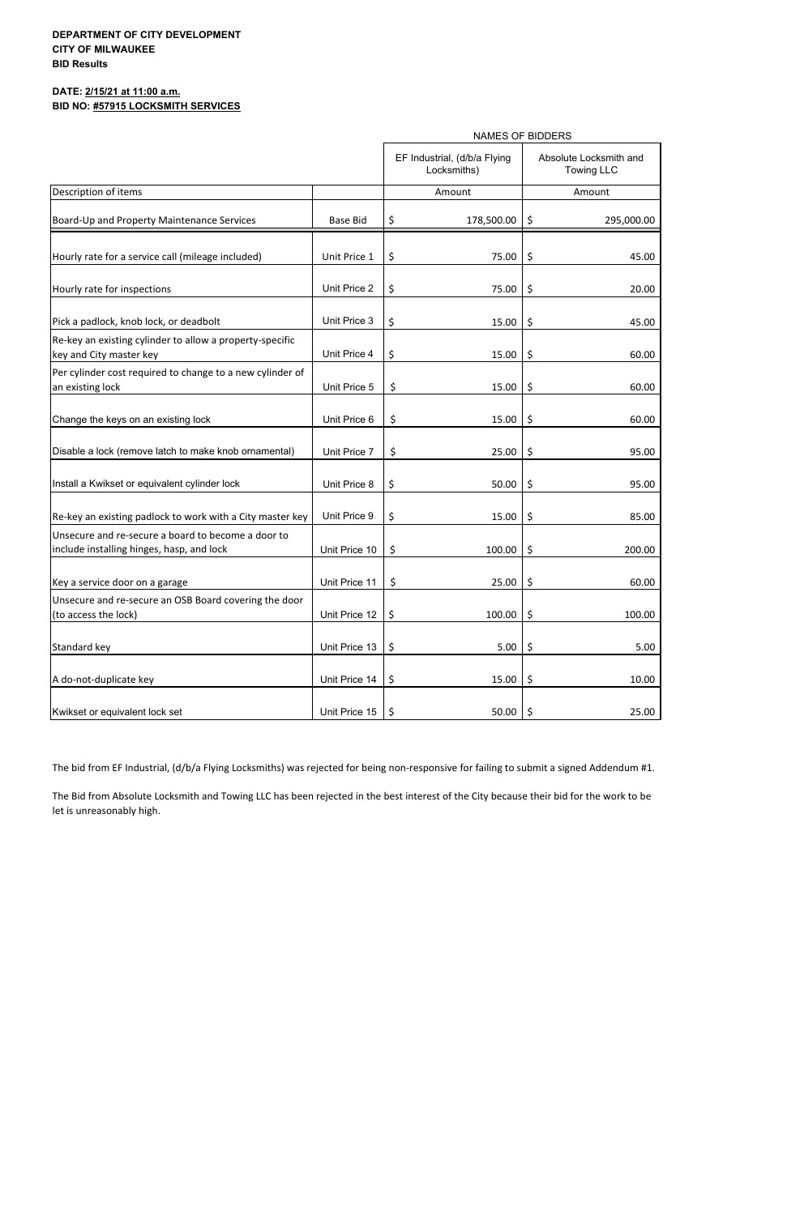# **DATE: 2/15/21 at 11:00 a.m. BID NO: #57915 LOCKSMITH SERVICES**

|                                                                                                 |                 | <b>NAMES OF BIDDERS</b>                     |                                             |  |  |  |  |
|-------------------------------------------------------------------------------------------------|-----------------|---------------------------------------------|---------------------------------------------|--|--|--|--|
|                                                                                                 |                 | EF Industrial, (d/b/a Flying<br>Locksmiths) | Absolute Locksmith and<br><b>Towing LLC</b> |  |  |  |  |
| Description of items                                                                            |                 | Amount                                      | Amount                                      |  |  |  |  |
| Board-Up and Property Maintenance Services                                                      | <b>Base Bid</b> | \$<br>178,500.00                            | \$,<br>295,000.00                           |  |  |  |  |
| Hourly rate for a service call (mileage included)                                               | Unit Price 1    | \$<br>75.00                                 | \$<br>45.00                                 |  |  |  |  |
| Hourly rate for inspections                                                                     | Unit Price 2    | \$<br>75.00                                 | \$<br>20.00                                 |  |  |  |  |
| Pick a padlock, knob lock, or deadbolt                                                          | Unit Price 3    | \$<br>15.00                                 | \$<br>45.00                                 |  |  |  |  |
| Re-key an existing cylinder to allow a property-specific<br>key and City master key             | Unit Price 4    | \$<br>15.00                                 | \$<br>60.00                                 |  |  |  |  |
| Per cylinder cost required to change to a new cylinder of<br>an existing lock                   | Unit Price 5    | \$<br>15.00                                 | \$<br>60.00                                 |  |  |  |  |
| Change the keys on an existing lock                                                             | Unit Price 6    | \$<br>15.00                                 | \$<br>60.00                                 |  |  |  |  |
| Disable a lock (remove latch to make knob ornamental)                                           | Unit Price 7    | \$<br>25.00                                 | \$<br>95.00                                 |  |  |  |  |
| Install a Kwikset or equivalent cylinder lock                                                   | Unit Price 8    | \$<br>50.00                                 | \$<br>95.00                                 |  |  |  |  |
| Re-key an existing padlock to work with a City master key                                       | Unit Price 9    | \$<br>15.00                                 | \$<br>85.00                                 |  |  |  |  |
| Unsecure and re-secure a board to become a door to<br>include installing hinges, hasp, and lock | Unit Price 10   | \$<br>100.00                                | \$<br>200.00                                |  |  |  |  |
| Key a service door on a garage                                                                  | Unit Price 11   | \$<br>25.00                                 | \$<br>60.00                                 |  |  |  |  |
| Unsecure and re-secure an OSB Board covering the door<br>(to access the lock)                   | Unit Price 12   | \$<br>100.00                                | \$<br>100.00                                |  |  |  |  |
| Standard key                                                                                    | Unit Price 13   | \$<br>5.00                                  | \$<br>5.00                                  |  |  |  |  |
| A do-not-duplicate key                                                                          | Unit Price 14   | \$<br>15.00                                 | \$<br>10.00                                 |  |  |  |  |
| Kwikset or equivalent lock set                                                                  | Unit Price 15   | \$<br>50.00                                 | \$<br>25.00                                 |  |  |  |  |

The bid from EF Industrial, (d/b/a Flying Locksmiths) was rejected for being non-responsive for failing to submit a signed Addendum #1.

# **DEPARTMENT OF CITY DEVELOPMENT CITY OF MILWAUKEE BID Results**

The Bid from Absolute Locksmith and Towing LLC has been rejected in the best interest of the City because their bid for the work to be let is unreasonably high.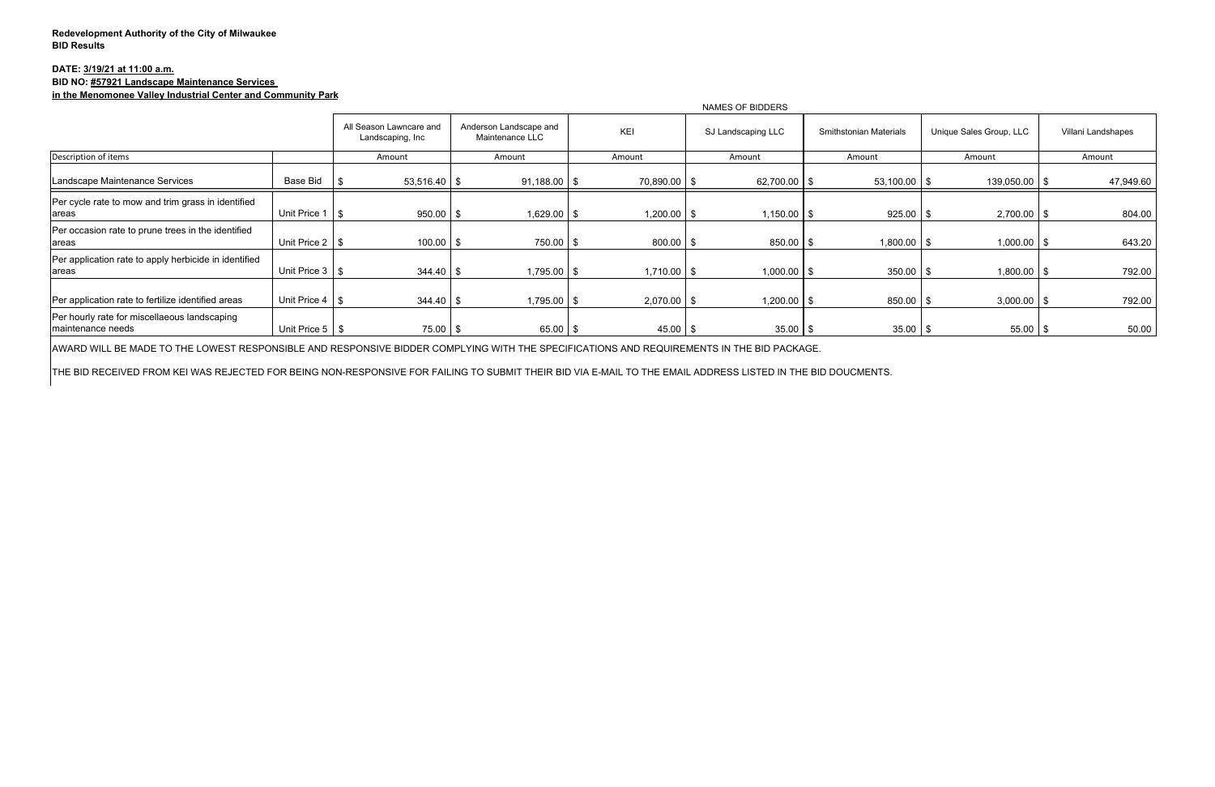## **DATE: 3/19/21 at 11:00 a.m. BID NO: #57921 Landscape Maintenance Services in the Menomonee Valley Industrial Center and Community Park**

|                                                                    |                        | NAMES OF BIDDERS                            |                                           |               |                    |                               |                         |                    |  |  |
|--------------------------------------------------------------------|------------------------|---------------------------------------------|-------------------------------------------|---------------|--------------------|-------------------------------|-------------------------|--------------------|--|--|
|                                                                    |                        | All Season Lawncare and<br>Landscaping, Inc | Anderson Landscape and<br>Maintenance LLC | <b>KEI</b>    | SJ Landscaping LLC | <b>Smithstonian Materials</b> | Unique Sales Group, LLC | Villani Landshapes |  |  |
| Description of items                                               |                        | Amount                                      | Amount                                    | Amount        | Amount             | Amount                        | Amount                  | Amount             |  |  |
| Landscape Maintenance Services                                     | <b>Base Bid</b>        | $53,516.40$ \$                              | $91,188.00$ \$                            | 70,890.00 \$  | $62,700.00$ \$     | $53,100.00$ \$                | $139,050.00$ \$         | 47,949.60          |  |  |
| Per cycle rate to mow and trim grass in identified<br>areas        | Unit Price 1           | $950.00$ \$                                 | $1,629.00$ \$                             | $1,200.00$ \$ | $1,150.00$ \$      | $925.00$ \$                   | $2,700.00$ \ \$         | 804.00             |  |  |
| Per occasion rate to prune trees in the identified<br>areas        | Unit Price $2 \mid$ \$ | $100.00$ \$                                 | 750.00 \$                                 | $800.00$ \$   | $850.00$ \$        | $1,800.00$ \$                 | $1,000.00$ \$           | 643.20             |  |  |
| Per application rate to apply herbicide in identified<br>areas     | Unit Price 3   \$      | $344.40$ \ \$                               | $1,795.00$ \$                             | $1,710.00$ \$ | $1,000.00$ \$      | $350.00$ \$                   | $1,800.00$ \$           | 792.00             |  |  |
| Per application rate to fertilize identified areas                 | Unit Price $4 \mid$ \$ | $344.40$ \\$                                | 1,795.00 \$                               | $2,070.00$ \$ | 1,200.00 \$        | 850.00 \$                     | $3,000.00$ \$           | 792.00             |  |  |
| Per hourly rate for miscellaeous landscaping<br>Imaintenance needs | Unit Price $5 \mid$ \$ | $75.00$ \$                                  | $65.00$ \$                                | $45.00$ \ \$  | $35.00$ \$         | $35.00$ \$                    | $55.00$ \ \$            | 50.00              |  |  |

AWARD WILL BE MADE TO THE LOWEST RESPONSIBLE AND RESPONSIVE BIDDER COMPLYING WITH THE SPECIFICATIONS AND REQUIREMENTS IN THE BID PACKAGE.

THE BID RECEIVED FROM KEI WAS REJECTED FOR BEING NON-RESPONSIVE FOR FAILING TO SUBMIT THEIR BID VIA E-MAIL TO THE EMAIL ADDRESS LISTED IN THE BID DOUCMENTS.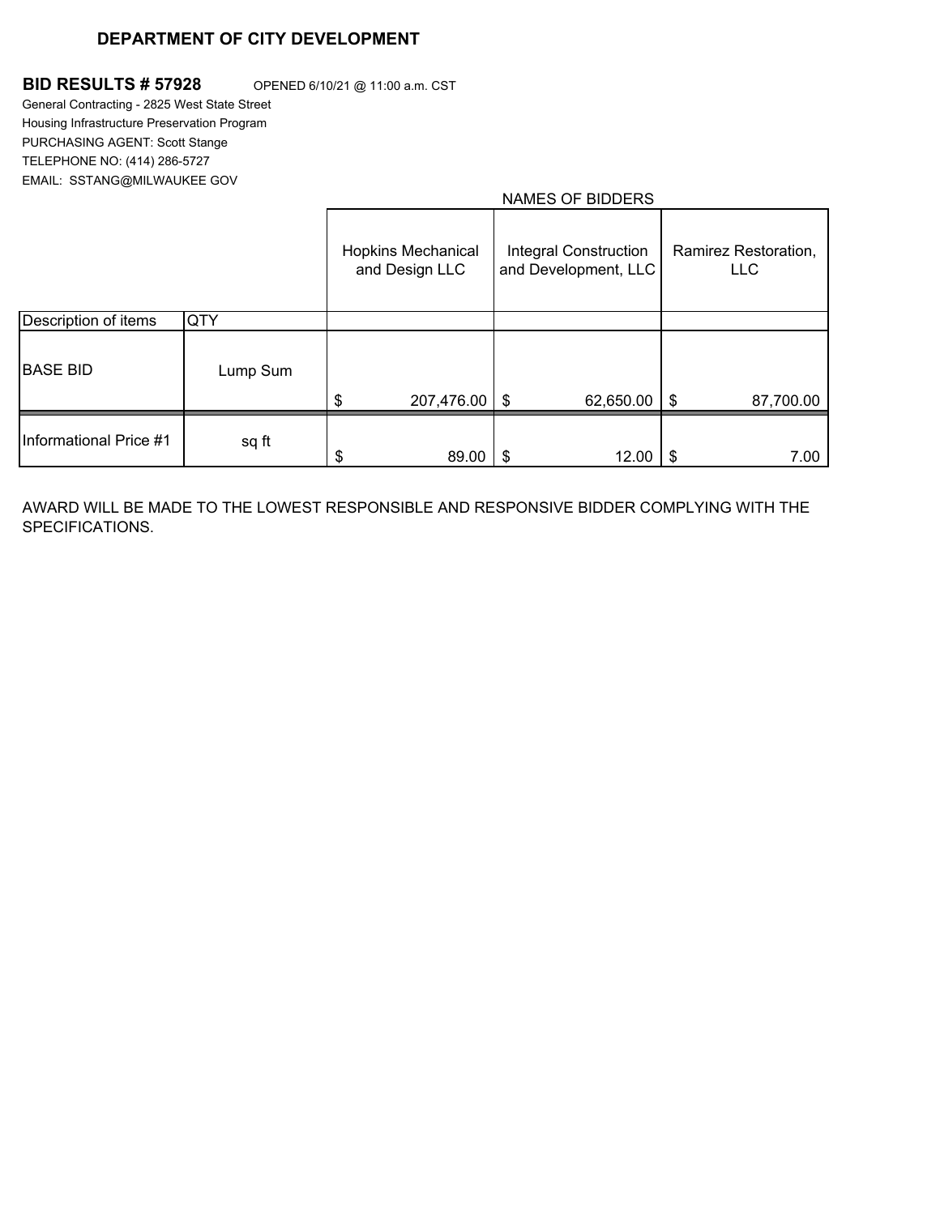## **DEPARTMENT OF CITY DEVELOPMENT**

## **BID RESULTS # 57928** OPENED 6/10/21 @ 11:00 a.m. CST

General Contracting - 2825 West State Street Housing Infrastructure Preservation Program PURCHASING AGENT: Scott Stange TELEPHONE NO: (414) 286-5727 EMAIL: SSTANG@MILWAUKEE GOV

## NAMES OF BIDDERS

|                        |          | <b>Hopkins Mechanical</b><br>and Design LLC | <b>Integral Construction</b><br>and Development, LLC | Ramirez Restoration,<br><b>LLC</b> |
|------------------------|----------|---------------------------------------------|------------------------------------------------------|------------------------------------|
| Description of items   | QTY      |                                             |                                                      |                                    |
| <b>BASE BID</b>        | Lump Sum |                                             |                                                      |                                    |
|                        |          | \$<br>207,476.00   \$                       | 62,650.00                                            | \$<br>87,700.00                    |
| Informational Price #1 | sq ft    | 89.00                                       | 12.00                                                | \$<br>7.00                         |

AWARD WILL BE MADE TO THE LOWEST RESPONSIBLE AND RESPONSIVE BIDDER COMPLYING WITH THE SPECIFICATIONS.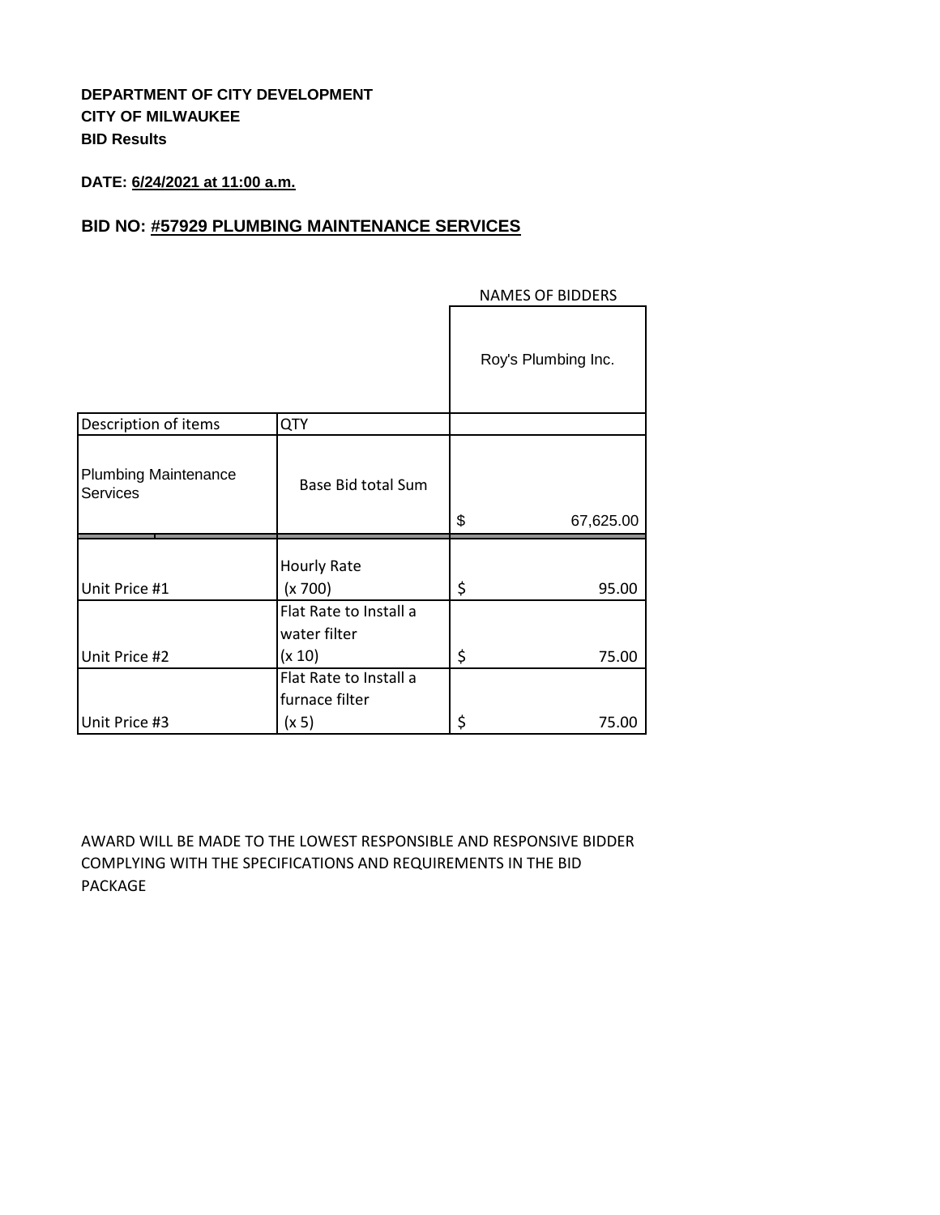# **DEPARTMENT OF CITY DEVELOPMENT CITY OF MILWAUKEE BID Results**

# **DATE: 6/24/2021 at 11:00 a.m.**

# **BID NO: #57929 PLUMBING MAINTENANCE SERVICES**

|                                                |                                                  | Roy's Plumbing Inc. |
|------------------------------------------------|--------------------------------------------------|---------------------|
| Description of items                           | <b>QTY</b>                                       |                     |
| <b>Plumbing Maintenance</b><br><b>Services</b> | Base Bid total Sum                               | \$<br>67,625.00     |
| Unit Price #1                                  | Hourly Rate<br>(x 700)                           | \$<br>95.00         |
| Unit Price #2                                  | Flat Rate to Install a<br>water filter<br>(x 10) | \$<br>75.00         |
|                                                | Flat Rate to Install a<br>furnace filter         |                     |
| Unit Price #3                                  | (x 5)                                            | \$<br>75.00         |

## NAMES OF BIDDERS

AWARD WILL BE MADE TO THE LOWEST RESPONSIBLE AND RESPONSIVE BIDDER COMPLYING WITH THE SPECIFICATIONS AND REQUIREMENTS IN THE BID PACKAGE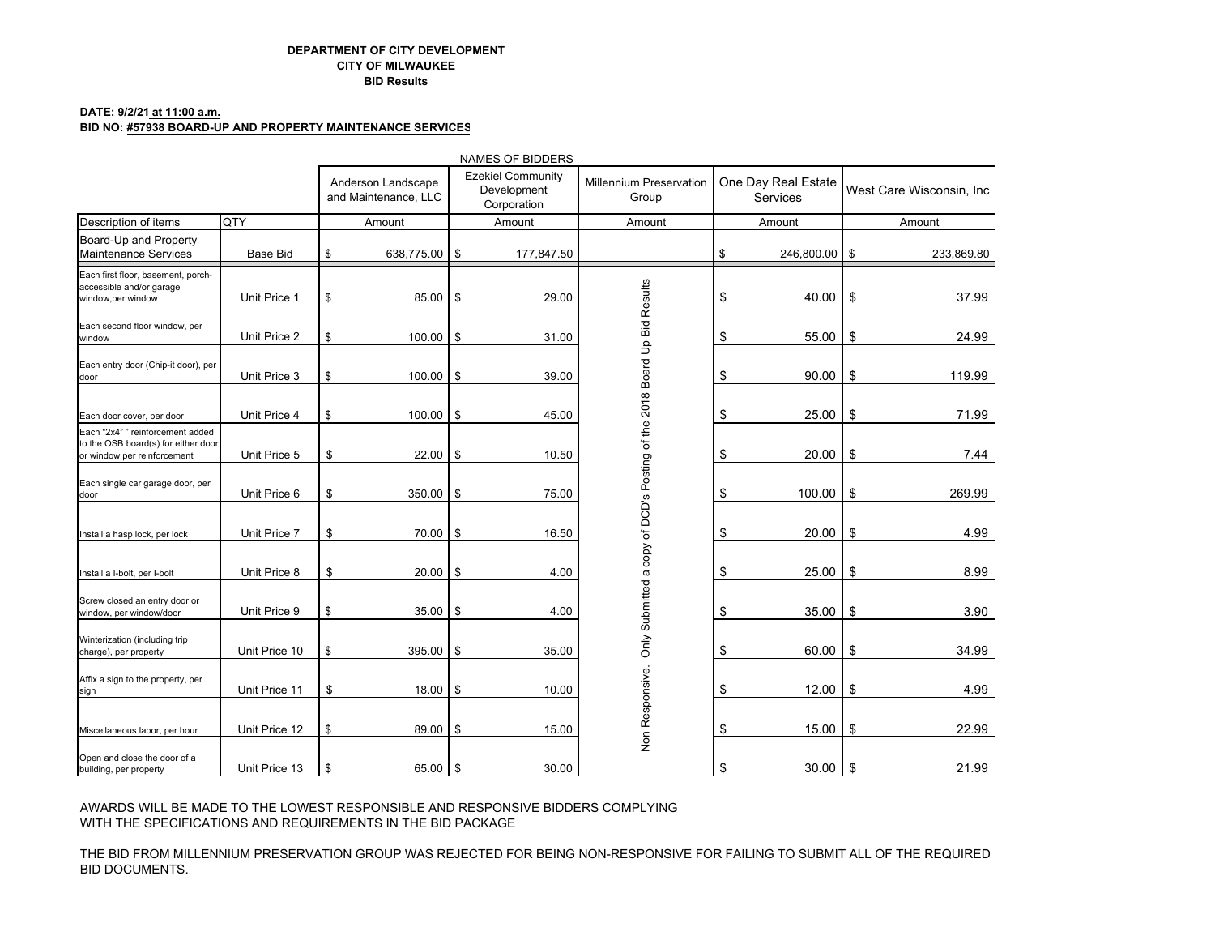#### **DEPARTMENT OF CITY DEVELOPMENTCITY OF MILWAUKEEBID Results**

#### **DATE: 9/2/21 at 11:00 a.m.**

#### **BID NO: #57938 BOARD-UP AND PROPERTY MAINTENANCE SERVICES**

|                                                                                                        |               |        |                                                                                                      |     | <b>NAMES OF BIDDERS</b> |                                                                         |                                        |               |                          |            |
|--------------------------------------------------------------------------------------------------------|---------------|--------|------------------------------------------------------------------------------------------------------|-----|-------------------------|-------------------------------------------------------------------------|----------------------------------------|---------------|--------------------------|------------|
|                                                                                                        |               |        | <b>Ezekiel Community</b><br>Anderson Landscape<br>Development<br>and Maintenance, LLC<br>Corporation |     |                         | <b>Millennium Preservation</b><br>Group                                 | One Day Real Estate<br><b>Services</b> |               | West Care Wisconsin, Inc |            |
| Description of items                                                                                   | <b>QTY</b>    | Amount |                                                                                                      |     | Amount                  | Amount                                                                  |                                        | Amount        |                          | Amount     |
| Board-Up and Property<br><b>Maintenance Services</b>                                                   | Base Bid      | \$     | 638,775.00 \$                                                                                        |     | 177,847.50              |                                                                         | \$                                     | 246,800.00 \$ |                          | 233,869.80 |
| Each first floor, basement, porch-<br>accessible and/or garage<br>window,per window                    | Unit Price 1  | \$     | $85.00$ \$                                                                                           |     | 29.00                   |                                                                         | \$                                     | 40.00         | \$                       | 37.99      |
| Each second floor window, per<br>window                                                                | Unit Price 2  | \$     | $100.00$ \$                                                                                          |     | 31.00                   |                                                                         | \$                                     | 55.00         | \$                       | 24.99      |
| Each entry door (Chip-it door), per<br>door                                                            | Unit Price 3  | \$     | $100.00$ \$                                                                                          |     | 39.00                   |                                                                         | \$                                     | 90.00         | \$                       | 119.99     |
| Each door cover, per door                                                                              | Unit Price 4  | \$     | 100.00                                                                                               | \$  | 45.00                   |                                                                         | \$                                     | 25.00         | \$                       | 71.99      |
| Each "2x4" " reinforcement added<br>to the OSB board(s) for either door<br>or window per reinforcement | Unit Price 5  | \$     | 22.00                                                                                                | \$  | 10.50                   |                                                                         | \$                                     | 20.00         | \$                       | 7.44       |
| Each single car garage door, per<br>door                                                               | Unit Price 6  | \$     | $350.00$ \$                                                                                          |     | 75.00                   |                                                                         | \$                                     | 100.00        | \$                       | 269.99     |
| Install a hasp lock, per lock                                                                          | Unit Price 7  | \$     | 70.00 \$                                                                                             |     | 16.50                   | Only Submitted a copy of DCD's Posting of the 2018 Board Up Bid Results | \$                                     | 20.00         | \$                       | 4.99       |
| Install a I-bolt, per I-bolt                                                                           | Unit Price 8  | \$     | 20.00                                                                                                | \$  | 4.00                    |                                                                         | \$                                     | 25.00         | \$                       | 8.99       |
| Screw closed an entry door or<br>window, per window/door                                               | Unit Price 9  | \$     | 35.00                                                                                                | \$  | 4.00                    |                                                                         | \$                                     | 35.00         | \$                       | 3.90       |
| Winterization (including trip<br>charge), per property                                                 | Unit Price 10 | \$     | 395.00                                                                                               | \$  | 35.00                   |                                                                         | \$                                     | 60.00         | \$                       | 34.99      |
| Affix a sign to the property, per<br>sign                                                              | Unit Price 11 | \$     | 18.00                                                                                                | \$  | 10.00                   | Non Responsive.                                                         | \$                                     | 12.00         | \$                       | 4.99       |
| Miscellaneous labor, per hour                                                                          | Unit Price 12 | \$     | 89.00                                                                                                | -\$ | 15.00                   |                                                                         | \$                                     | 15.00         | \$                       | 22.99      |
| Open and close the door of a<br>building, per property                                                 | Unit Price 13 | \$     | 65.00 \$                                                                                             |     | 30.00                   |                                                                         | \$                                     | 30.00         | \$                       | 21.99      |

AWARDS WILL BE MADE TO THE LOWEST RESPONSIBLE AND RESPONSIVE BIDDERS COMPLYING WITH THE SPECIFICATIONS AND REQUIREMENTS IN THE BID PACKAGE

THE BID FROM MILLENNIUM PRESERVATION GROUP WAS REJECTED FOR BEING NON-RESPONSIVE FOR FAILING TO SUBMIT ALL OF THE REQUIRED BID DOCUMENTS.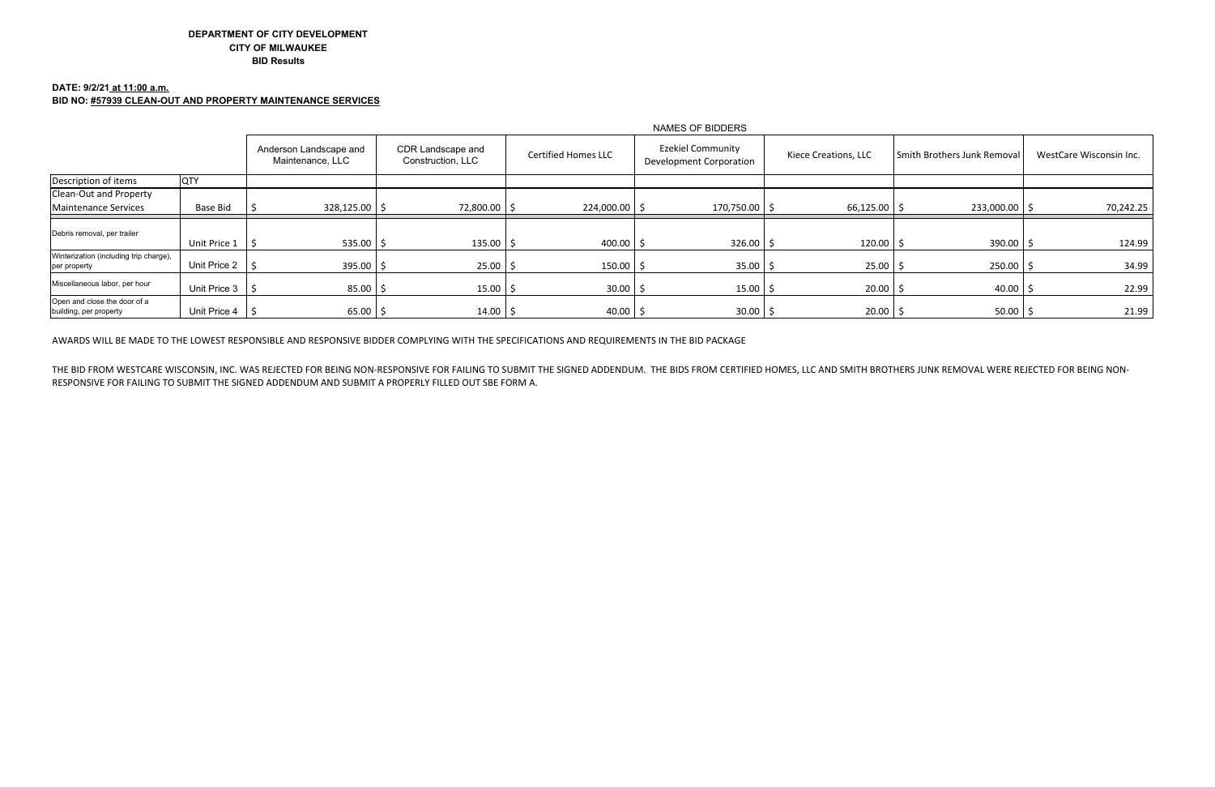## **DATE: 9/2/21 at 11:00 a.m. BID NO: #57939 CLEAN-OUT AND PROPERTY MAINTENANCE SERVICES**

THE BID FROM WESTCARE WISCONSIN, INC. WAS REJECTED FOR BEING NON-RESPONSIVE FOR FAILING TO SUBMIT THE SIGNED ADDENDUM. THE BIDS FROM CERTIFIED HOMES, LLC AND SMITH BROTHERS JUNK REMOVAL WERE REJECTED FOR BEING NON-RESPONSIVE FOR FAILING TO SUBMIT THE SIGNED ADDENDUM AND SUBMIT A PROPERLY FILLED OUT SBE FORM A.

|                                                        |                           | NAMES OF BIDDERS                           |                                        |                            |                                                     |                      |                                 |                         |  |
|--------------------------------------------------------|---------------------------|--------------------------------------------|----------------------------------------|----------------------------|-----------------------------------------------------|----------------------|---------------------------------|-------------------------|--|
|                                                        |                           | Anderson Landscape and<br>Maintenance, LLC | CDR Landscape and<br>Construction, LLC | <b>Certified Homes LLC</b> | <b>Ezekiel Community</b><br>Development Corporation | Kiece Creations, LLC | l Smith Brothers Junk Removal I | WestCare Wisconsin Inc. |  |
| Description of items                                   | <b>QTY</b>                |                                            |                                        |                            |                                                     |                      |                                 |                         |  |
| Clean-Out and Property<br>Maintenance Services         | <b>Base Bid</b>           | $328,125.00$   \$                          | 72,800.00 \$                           | 224,000.00 \$              | 170,750.00 \$                                       | 66,125.00            | 233,000.00 \$                   | 70,242.25               |  |
| Debris removal, per trailer                            | Unit Price 1              | $535.00$   \$                              | $135.00$ \$                            | 400.00 $\frac{3}{2}$       | 326.00                                              | 120.00               | 390.00                          | 124.99                  |  |
| Winterization (including trip charge),<br>per property | Unit Price $2 \mid \zeta$ | $395.00$ \$                                | $25.00$ \$                             | 150.00                     | $35.00$ \$                                          | 25.00                | 250.00                          | 34.99                   |  |
| Miscellaneous labor, per hour                          | Unit Price 3   \$         | $85.00$ \$                                 | $15.00$ \$                             | $30.00$ \$                 | $15.00$   \$                                        | 20.00                | 40.00                           | 22.99                   |  |
| Open and close the door of a<br>building, per property | Unit Price $4 \mid \zeta$ | $65.00$ \$                                 | $14.00$ $\frac{2}{3}$                  | $40.00$ \$                 | $30.00$   \$                                        | 20.00                | $50.00$ \$                      | 21.99                   |  |

AWARDS WILL BE MADE TO THE LOWEST RESPONSIBLE AND RESPONSIVE BIDDER COMPLYING WITH THE SPECIFICATIONS AND REQUIREMENTS IN THE BID PACKAGE

## **DEPARTMENT OF CITY DEVELOPMENT CITY OF MILWAUKEE BID Results**